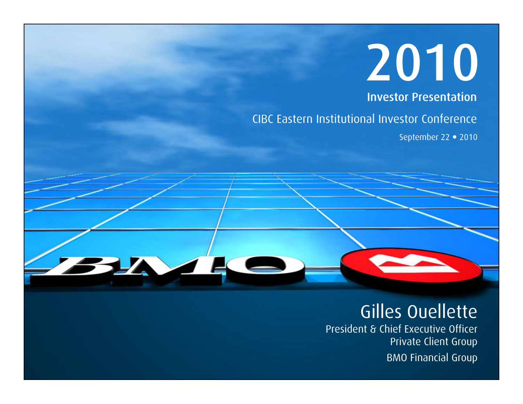# 2010

Investor Presentation

CIBC Eastern Institutional Investor Conference

September 22 · 2010

## Gilles Ouellette

President & Chief Executive Officer Private Client Group BMO Financial Group